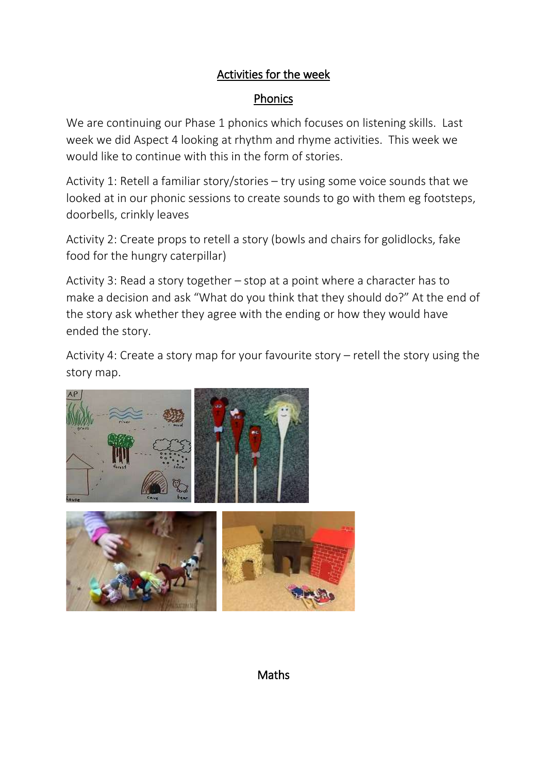## Activities for the week

## Phonics

We are continuing our Phase 1 phonics which focuses on listening skills. Last week we did Aspect 4 looking at rhythm and rhyme activities. This week we would like to continue with this in the form of stories.

Activity 1: Retell a familiar story/stories – try using some voice sounds that we looked at in our phonic sessions to create sounds to go with them eg footsteps, doorbells, crinkly leaves

Activity 2: Create props to retell a story (bowls and chairs for golidlocks, fake food for the hungry caterpillar)

Activity 3: Read a story together – stop at a point where a character has to make a decision and ask "What do you think that they should do?" At the end of the story ask whether they agree with the ending or how they would have ended the story.

Activity 4: Create a story map for your favourite story – retell the story using the story map.





Maths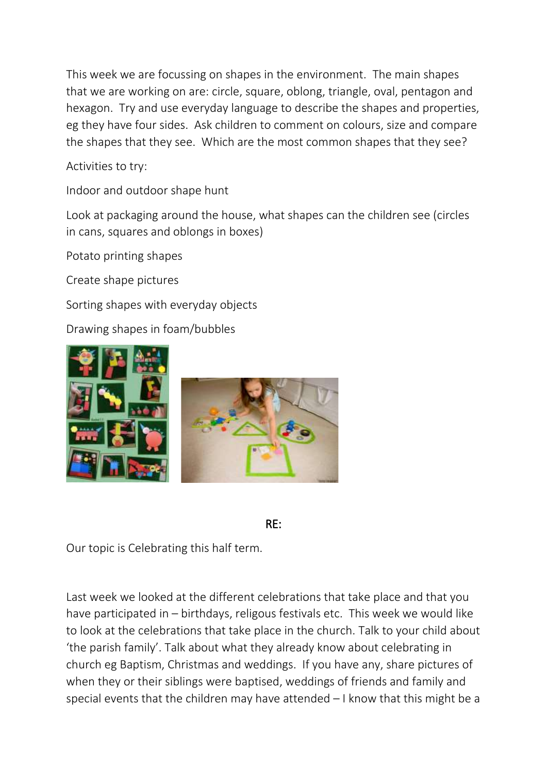This week we are focussing on shapes in the environment. The main shapes that we are working on are: circle, square, oblong, triangle, oval, pentagon and hexagon. Try and use everyday language to describe the shapes and properties, eg they have four sides. Ask children to comment on colours, size and compare the shapes that they see. Which are the most common shapes that they see?

Activities to try:

Indoor and outdoor shape hunt

Look at packaging around the house, what shapes can the children see (circles in cans, squares and oblongs in boxes)

Potato printing shapes

Create shape pictures

Sorting shapes with everyday objects

Drawing shapes in foam/bubbles



## RE:

Our topic is Celebrating this half term.

Last week we looked at the different celebrations that take place and that you have participated in – birthdays, religous festivals etc. This week we would like to look at the celebrations that take place in the church. Talk to your child about 'the parish family'. Talk about what they already know about celebrating in church eg Baptism, Christmas and weddings. If you have any, share pictures of when they or their siblings were baptised, weddings of friends and family and special events that the children may have attended – I know that this might be a